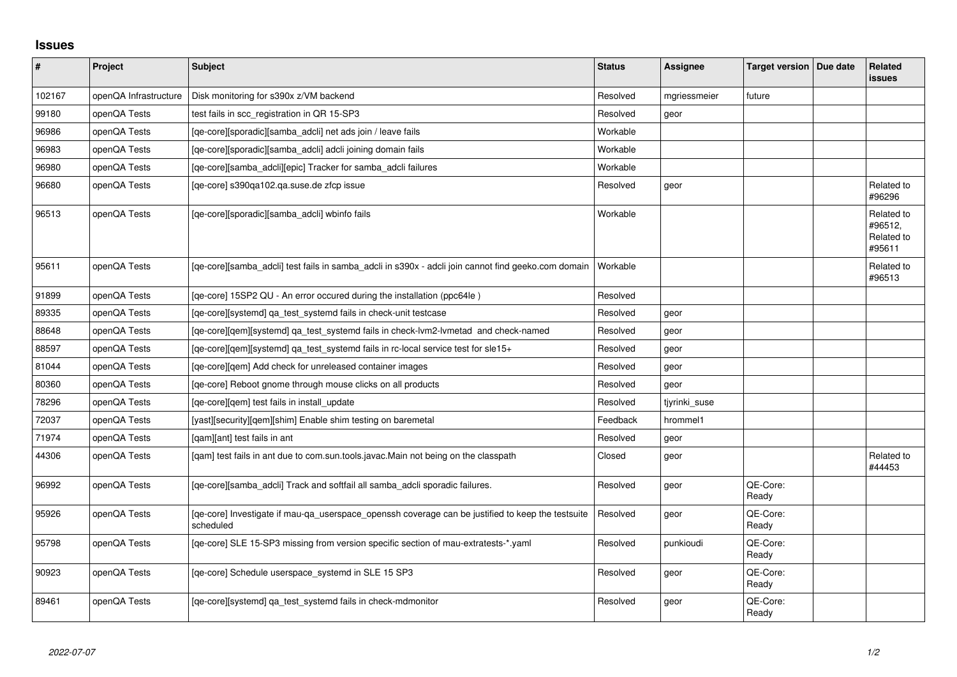## **Issues**

| $\sharp$ | Project               | <b>Subject</b>                                                                                                 | <b>Status</b> | Assignee      | Target version   Due date | Related<br><b>issues</b>                      |
|----------|-----------------------|----------------------------------------------------------------------------------------------------------------|---------------|---------------|---------------------------|-----------------------------------------------|
| 102167   | openQA Infrastructure | Disk monitoring for s390x z/VM backend                                                                         | Resolved      | mgriessmeier  | future                    |                                               |
| 99180    | openQA Tests          | test fails in scc registration in QR 15-SP3                                                                    | Resolved      | geor          |                           |                                               |
| 96986    | openQA Tests          | [ge-core][sporadic][samba adcli] net ads join / leave fails                                                    | Workable      |               |                           |                                               |
| 96983    | openQA Tests          | [qe-core][sporadic][samba_adcli] adcli joining domain fails                                                    | Workable      |               |                           |                                               |
| 96980    | openQA Tests          | [qe-core][samba_adcli][epic] Tracker for samba_adcli failures                                                  | Workable      |               |                           |                                               |
| 96680    | openQA Tests          | [ge-core] s390ga102.ga.suse.de zfcp issue                                                                      | Resolved      | geor          |                           | Related to<br>#96296                          |
| 96513    | openQA Tests          | [qe-core][sporadic][samba_adcli] wbinfo fails                                                                  | Workable      |               |                           | Related to<br>#96512,<br>Related to<br>#95611 |
| 95611    | openQA Tests          | [ge-core][samba adcli] test fails in samba adcli in s390x - adcli join cannot find geeko.com domain            | Workable      |               |                           | Related to<br>#96513                          |
| 91899    | openQA Tests          | [qe-core] 15SP2 QU - An error occured during the installation (ppc64le)                                        | Resolved      |               |                           |                                               |
| 89335    | openQA Tests          | [qe-core][systemd] ga test systemd fails in check-unit testcase                                                | Resolved      | geor          |                           |                                               |
| 88648    | openQA Tests          | [qe-core][qem][systemd] qa_test_systemd fails in check-lvm2-lvmetad and check-named                            | Resolved      | geor          |                           |                                               |
| 88597    | openQA Tests          | [qe-core][qem][systemd] qa_test_systemd fails in rc-local service test for sle15+                              | Resolved      | geor          |                           |                                               |
| 81044    | openQA Tests          | [qe-core][qem] Add check for unreleased container images                                                       | Resolved      | geor          |                           |                                               |
| 80360    | openQA Tests          | [qe-core] Reboot gnome through mouse clicks on all products                                                    | Resolved      | geor          |                           |                                               |
| 78296    | openQA Tests          | [ge-core][gem] test fails in install update                                                                    | Resolved      | tjyrinki suse |                           |                                               |
| 72037    | openQA Tests          | [yast][security][qem][shim] Enable shim testing on baremetal                                                   | Feedback      | hrommel1      |                           |                                               |
| 71974    | openQA Tests          | [gam][ant] test fails in ant                                                                                   | Resolved      | geor          |                           |                                               |
| 44306    | openQA Tests          | [qam] test fails in ant due to com.sun.tools.javac.Main not being on the classpath                             | Closed        | geor          |                           | Related to<br>#44453                          |
| 96992    | openQA Tests          | [qe-core][samba_adcli] Track and softfail all samba_adcli sporadic failures.                                   | Resolved      | geor          | QE-Core:<br>Ready         |                                               |
| 95926    | openQA Tests          | [qe-core] Investigate if mau-qa_userspace_openssh coverage can be justified to keep the testsuite<br>scheduled | Resolved      | geor          | QE-Core:<br>Ready         |                                               |
| 95798    | openQA Tests          | [ge-core] SLE 15-SP3 missing from version specific section of mau-extratests-*.yaml                            | Resolved      | punkioudi     | QE-Core:<br>Ready         |                                               |
| 90923    | openQA Tests          | [ge-core] Schedule userspace systemd in SLE 15 SP3                                                             | Resolved      | geor          | QE-Core:<br>Ready         |                                               |
| 89461    | openQA Tests          | [ge-core][systemd] ga test systemd fails in check-mdmonitor                                                    | Resolved      | geor          | QE-Core:<br>Ready         |                                               |